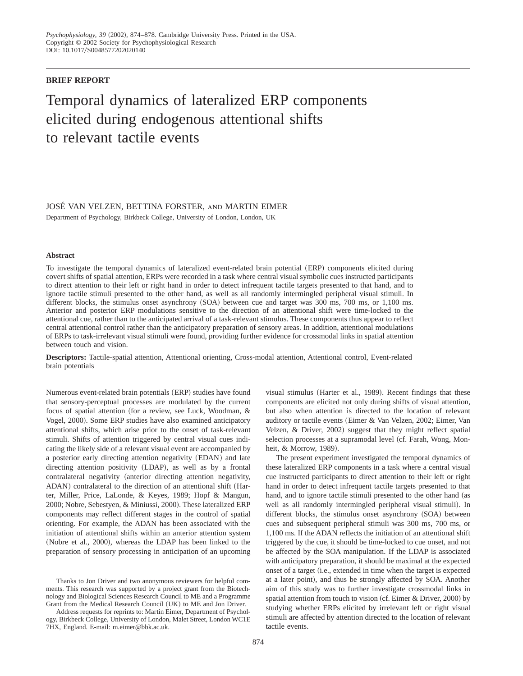# **BRIEF REPORT**

# Temporal dynamics of lateralized ERP components elicited during endogenous attentional shifts to relevant tactile events

JOSÉ VAN VELZEN, BETTINA FORSTER, and MARTIN EIMER

Department of Psychology, Birkbeck College, University of London, London, UK

## **Abstract**

To investigate the temporal dynamics of lateralized event-related brain potential (ERP) components elicited during covert shifts of spatial attention, ERPs were recorded in a task where central visual symbolic cues instructed participants to direct attention to their left or right hand in order to detect infrequent tactile targets presented to that hand, and to ignore tactile stimuli presented to the other hand, as well as all randomly intermingled peripheral visual stimuli. In different blocks, the stimulus onset asynchrony  $(SOA)$  between cue and target was 300 ms, 700 ms, or 1,100 ms. Anterior and posterior ERP modulations sensitive to the direction of an attentional shift were time-locked to the attentional cue, rather than to the anticipated arrival of a task-relevant stimulus. These components thus appear to reflect central attentional control rather than the anticipatory preparation of sensory areas. In addition, attentional modulations of ERPs to task-irrelevant visual stimuli were found, providing further evidence for crossmodal links in spatial attention between touch and vision.

**Descriptors:** Tactile-spatial attention, Attentional orienting, Cross-modal attention, Attentional control, Event-related brain potentials

Numerous event-related brain potentials (ERP) studies have found that sensory-perceptual processes are modulated by the current focus of spatial attention (for a review, see Luck, Woodman,  $\&$ Vogel, 2000). Some ERP studies have also examined anticipatory attentional shifts, which arise prior to the onset of task-relevant stimuli. Shifts of attention triggered by central visual cues indicating the likely side of a relevant visual event are accompanied by a posterior early directing attention negativity (EDAN) and late directing attention positivity (LDAP), as well as by a frontal contralateral negativity (anterior directing attention negativity, ADAN) contralateral to the direction of an attentional shift (Harter, Miller, Price, LaLonde, & Keyes, 1989; Hopf & Mangun, 2000; Nobre, Sebestyen, & Miniussi, 2000). These lateralized ERP components may reflect different stages in the control of spatial orienting. For example, the ADAN has been associated with the initiation of attentional shifts within an anterior attention system (Nobre et al., 2000), whereas the LDAP has been linked to the preparation of sensory processing in anticipation of an upcoming

visual stimulus (Harter et al., 1989). Recent findings that these components are elicited not only during shifts of visual attention, but also when attention is directed to the location of relevant auditory or tactile events (Eimer & Van Velzen, 2002; Eimer, Van Velzen, & Driver, 2002) suggest that they might reflect spatial selection processes at a supramodal level (cf. Farah, Wong, Monheit, & Morrow, 1989).

The present experiment investigated the temporal dynamics of these lateralized ERP components in a task where a central visual cue instructed participants to direct attention to their left or right hand in order to detect infrequent tactile targets presented to that hand, and to ignore tactile stimuli presented to the other hand (as well as all randomly intermingled peripheral visual stimuli). In different blocks, the stimulus onset asynchrony (SOA) between cues and subsequent peripheral stimuli was 300 ms, 700 ms, or 1,100 ms. If the ADAN reflects the initiation of an attentional shift triggered by the cue, it should be time-locked to cue onset, and not be affected by the SOA manipulation. If the LDAP is associated with anticipatory preparation, it should be maximal at the expected onset of a target (i.e., extended in time when the target is expected at a later point), and thus be strongly affected by SOA. Another aim of this study was to further investigate crossmodal links in spatial attention from touch to vision (cf. Eimer  $&$  Driver, 2000) by studying whether ERPs elicited by irrelevant left or right visual stimuli are affected by attention directed to the location of relevant tactile events.

Thanks to Jon Driver and two anonymous reviewers for helpful comments. This research was supported by a project grant from the Biotechnology and Biological Sciences Research Council to ME and a Programme Grant from the Medical Research Council (UK) to ME and Jon Driver.

Address requests for reprints to: Martin Eimer, Department of Psychology, Birkbeck College, University of London, Malet Street, London WC1E 7HX, England. E-mail: m.eimer@bbk.ac.uk.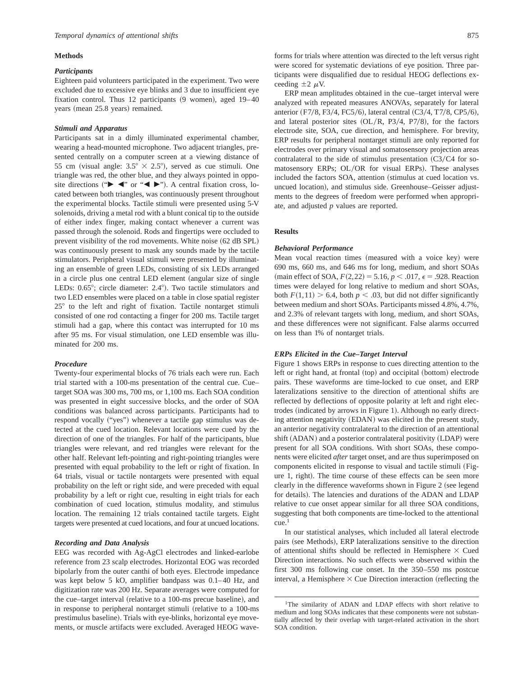#### **Methods**

#### *Participants*

Eighteen paid volunteers participated in the experiment. Two were excluded due to excessive eye blinks and 3 due to insufficient eye fixation control. Thus  $12$  participants  $(9 \text{ women})$ , aged  $19-40$ years (mean 25.8 years) remained.

#### *Stimuli and Apparatus*

Participants sat in a dimly illuminated experimental chamber, wearing a head-mounted microphone. Two adjacent triangles, presented centrally on a computer screen at a viewing distance of 55 cm (visual angle:  $3.5^\circ \times 2.5^\circ$ ), served as cue stimuli. One triangle was red, the other blue, and they always pointed in opposite directions (" $\blacktriangleright \blacktriangleleft$ " or " $\blacktriangleleft \blacktriangleright$ "). A central fixation cross, located between both triangles, was continuously present throughout the experimental blocks. Tactile stimuli were presented using 5-V solenoids, driving a metal rod with a blunt conical tip to the outside of either index finger, making contact whenever a current was passed through the solenoid. Rods and fingertips were occluded to prevent visibility of the rod movements. White noise  $(62 \text{ dB}$  SPL) was continuously present to mask any sounds made by the tactile stimulators. Peripheral visual stimuli were presented by illuminating an ensemble of green LEDs, consisting of six LEDs arranged in a circle plus one central LED element (angular size of single LEDs:  $0.65^{\circ}$ ; circle diameter:  $2.4^{\circ}$ ). Two tactile stimulators and two LED ensembles were placed on a table in close spatial register  $25^{\circ}$  to the left and right of fixation. Tactile nontarget stimuli consisted of one rod contacting a finger for 200 ms. Tactile target stimuli had a gap, where this contact was interrupted for 10 ms after 95 ms. For visual stimulation, one LED ensemble was illuminated for 200 ms.

## *Procedure*

Twenty-four experimental blocks of 76 trials each were run. Each trial started with a 100-ms presentation of the central cue. Cue– target SOA was 300 ms, 700 ms, or 1,100 ms. Each SOA condition was presented in eight successive blocks, and the order of SOA conditions was balanced across participants. Participants had to respond vocally ("yes") whenever a tactile gap stimulus was detected at the cued location. Relevant locations were cued by the direction of one of the triangles. For half of the participants, blue triangles were relevant, and red triangles were relevant for the other half. Relevant left-pointing and right-pointing triangles were presented with equal probability to the left or right of fixation. In 64 trials, visual or tactile nontargets were presented with equal probability on the left or right side, and were preceded with equal probability by a left or right cue, resulting in eight trials for each combination of cued location, stimulus modality, and stimulus location. The remaining 12 trials contained tactile targets. Eight targets were presented at cued locations, and four at uncued locations.

## *Recording and Data Analysis*

EEG was recorded with Ag-AgCl electrodes and linked-earlobe reference from 23 scalp electrodes. Horizontal EOG was recorded bipolarly from the outer canthi of both eyes. Electrode impedance was kept below 5 kO, amplifier bandpass was 0.1–40 Hz, and digitization rate was 200 Hz. Separate averages were computed for the cue–target interval (relative to a 100-ms precue baseline), and in response to peripheral nontarget stimuli (relative to a 100-ms prestimulus baseline). Trials with eye-blinks, horizontal eye movements, or muscle artifacts were excluded. Averaged HEOG wave-

forms for trials where attention was directed to the left versus right were scored for systematic deviations of eye position. Three participants were disqualified due to residual HEOG deflections exceeding  $\pm 2 \mu V$ .

ERP mean amplitudes obtained in the cue–target interval were analyzed with repeated measures ANOVAs, separately for lateral anterior  $(F7/8, F3/4, FC5/6)$ , lateral central  $(C3/4, T7/8, CP5/6)$ , and lateral posterior sites  $(OL/R, P3/4, P7/8)$ , for the factors electrode site, SOA, cue direction, and hemisphere. For brevity, ERP results for peripheral nontarget stimuli are only reported for electrodes over primary visual and somatosensory projection areas contralateral to the side of stimulus presentation  $(C3/C4$  for somatosensory ERPs; OL/OR for visual ERPs). These analyses included the factors SOA, attention (stimulus at cued location vs. uncued location), and stimulus side. Greenhouse–Geisser adjustments to the degrees of freedom were performed when appropriate, and adjusted *p* values are reported.

#### **Results**

#### *Behavioral Performance*

Mean vocal reaction times (measured with a voice key) were 690 ms, 660 ms, and 646 ms for long, medium, and short SOAs (main effect of SOA,  $F(2,22) = 5.16$ ,  $p < .017$ ,  $\epsilon = .928$ . Reaction times were delayed for long relative to medium and short SOAs, both  $F(1,11) > 6.4$ , both  $p < .03$ , but did not differ significantly between medium and short SOAs. Participants missed 4.8%, 4.7%, and 2.3% of relevant targets with long, medium, and short SOAs, and these differences were not significant. False alarms occurred on less than 1% of nontarget trials.

## *ERPs Elicited in the Cue–Target Interval*

Figure 1 shows ERPs in response to cues directing attention to the left or right hand, at frontal (top) and occipital (bottom) electrode pairs. These waveforms are time-locked to cue onset, and ERP lateralizations sensitive to the direction of attentional shifts are reflected by deflections of opposite polarity at left and right electrodes (indicated by arrows in Figure 1). Although no early directing attention negativity (EDAN) was elicited in the present study, an anterior negativity contralateral to the direction of an attentional shift (ADAN) and a posterior contralateral positivity (LDAP) were present for all SOA conditions. With short SOAs, these components were elicited *after* target onset, and are thus superimposed on components elicited in response to visual and tactile stimuli (Figure 1, right). The time course of these effects can be seen more clearly in the difference waveforms shown in Figure 2 (see legend for details). The latencies and durations of the ADAN and LDAP relative to cue onset appear similar for all three SOA conditions, suggesting that both components are time-locked to the attentional cue.1

In our statistical analyses, which included all lateral electrode pairs (see Methods), ERP lateralizations sensitive to the direction of attentional shifts should be reflected in Hemisphere  $\times$  Cued Direction interactions. No such effects were observed within the first 300 ms following cue onset. In the 350–550 ms postcue interval, a Hemisphere  $\times$  Cue Direction interaction (reflecting the

<sup>&</sup>lt;sup>1</sup>The similarity of ADAN and LDAP effects with short relative to medium and long SOAs indicates that these components were not substantially affected by their overlap with target-related activation in the short SOA condition.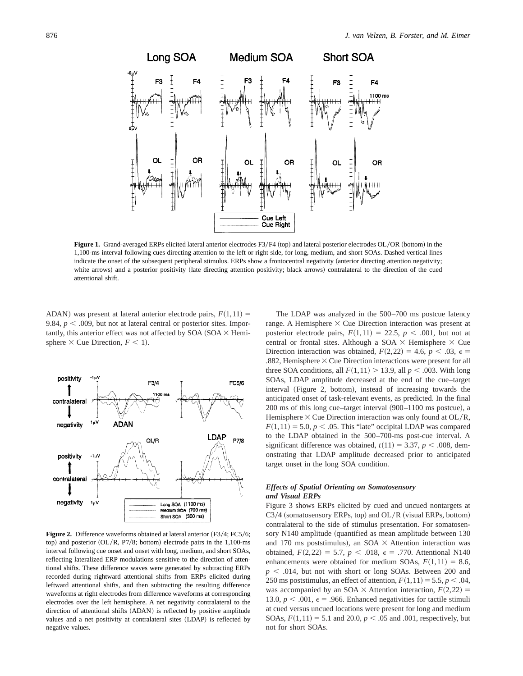

**Figure 1.** Grand-averaged ERPs elicited lateral anterior electrodes F3/F4 (top) and lateral posterior electrodes OL/OR (bottom) in the 1,100-ms interval following cues directing attention to the left or right side, for long, medium, and short SOAs. Dashed vertical lines indicate the onset of the subsequent peripheral stimulus. ERPs show a frontocentral negativity (anterior directing attention negativity; white arrows) and a posterior positivity (late directing attention positivity; black arrows) contralateral to the direction of the cued attentional shift.

ADAN) was present at lateral anterior electrode pairs,  $F(1,11) =$ 9.84,  $p < .009$ , but not at lateral central or posterior sites. Importantly, this anterior effect was not affected by SOA  $(SOA \times Hemi-)$ sphere  $\times$  Cue Direction,  $F < 1$ ).



**Figure 2.** Difference waveforms obtained at lateral anterior (F3/4; FC5/6; top) and posterior  $(OL/R, P7/8; bottom)$  electrode pairs in the 1,100-ms interval following cue onset and onset with long, medium, and short SOAs, reflecting lateralized ERP modulations sensitive to the direction of attentional shifts. These difference waves were generated by subtracting ERPs recorded during rightward attentional shifts from ERPs elicited during leftward attentional shifts, and then subtracting the resulting difference waveforms at right electrodes from difference waveforms at corresponding electrodes over the left hemisphere. A net negativity contralateral to the direction of attentional shifts (ADAN) is reflected by positive amplitude values and a net positivity at contralateral sites (LDAP) is reflected by negative values.

The LDAP was analyzed in the 500–700 ms postcue latency range. A Hemisphere  $\times$  Cue Direction interaction was present at posterior electrode pairs,  $F(1,11) = 22.5$ ,  $p < .001$ , but not at central or frontal sites. Although a SOA  $\times$  Hemisphere  $\times$  Cue Direction interaction was obtained,  $F(2,22) = 4.6$ ,  $p < .03$ ,  $\epsilon =$ .882, Hemisphere  $\times$  Cue Direction interactions were present for all three SOA conditions, all  $F(1,11) > 13.9$ , all  $p < .003$ . With long SOAs, LDAP amplitude decreased at the end of the cue–target interval (Figure 2, bottom), instead of increasing towards the anticipated onset of task-relevant events, as predicted. In the final  $200$  ms of this long cue–target interval  $(900-1100$  ms postcue), a Hemisphere  $\times$  Cue Direction interaction was only found at OL/R,  $F(1,11) = 5.0, p < .05$ . This "late" occipital LDAP was compared to the LDAP obtained in the 500–700-ms post-cue interval. A significant difference was obtained,  $t(11) = 3.37, p < .008$ , demonstrating that LDAP amplitude decreased prior to anticipated target onset in the long SOA condition.

## *Effects of Spatial Orienting on Somatosensory and Visual ERPs*

Figure 3 shows ERPs elicited by cued and uncued nontargets at  $C3/4$  (somatosensory ERPs, top) and OL/R (visual ERPs, bottom) contralateral to the side of stimulus presentation. For somatosensory  $N140$  amplitude (quantified as mean amplitude between 130 and 170 ms poststimulus), an  $SOA \times$  Attention interaction was obtained,  $F(2,22) = 5.7, p < .018, \epsilon = .770$ . Attentional N140 enhancements were obtained for medium SOAs,  $F(1,11) = 8.6$ ,  $p < .014$ , but not with short or long SOAs. Between 200 and 250 ms poststimulus, an effect of attention,  $F(1,11) = 5.5$ ,  $p < .04$ , was accompanied by an SOA  $\times$  Attention interaction,  $F(2,22)$  = 13.0,  $p < .001$ ,  $\epsilon = .966$ . Enhanced negativities for tactile stimuli at cued versus uncued locations were present for long and medium SOAs,  $F(1,11) = 5.1$  and 20.0,  $p < .05$  and .001, respectively, but not for short SOAs.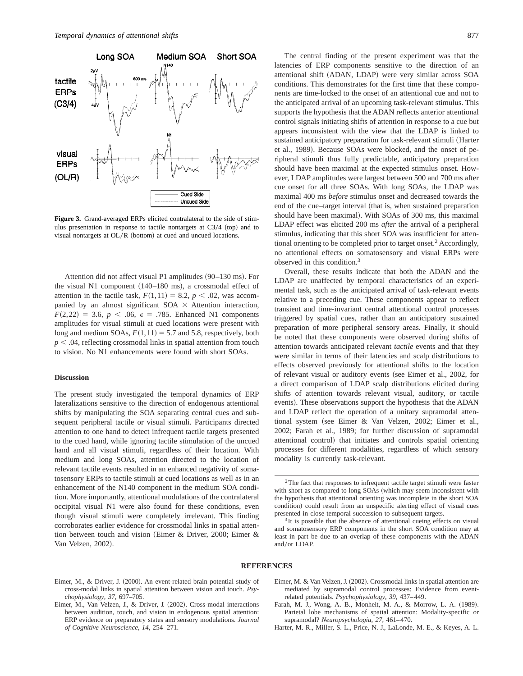

**Figure 3.** Grand-averaged ERPs elicited contralateral to the side of stimulus presentation in response to tactile nontargets at  $C_3/4$  (top) and to visual nontargets at  $OL/R$  (bottom) at cued and uncued locations.

Attention did not affect visual P1 amplitudes  $(90-130 \text{ ms})$ . For the visual N1 component  $(140-180 \text{ ms})$ , a crossmodal effect of attention in the tactile task,  $F(1,11) = 8.2, p < .02$ , was accompanied by an almost significant SOA  $\times$  Attention interaction,  $F(2,22) = 3.6, p < .06, \epsilon = .785$ . Enhanced N1 components amplitudes for visual stimuli at cued locations were present with long and medium SOAs,  $F(1,11) = 5.7$  and 5.8, respectively, both  $p < .04$ , reflecting crossmodal links in spatial attention from touch to vision. No N1 enhancements were found with short SOAs.

#### **Discussion**

The present study investigated the temporal dynamics of ERP lateralizations sensitive to the direction of endogenous attentional shifts by manipulating the SOA separating central cues and subsequent peripheral tactile or visual stimuli. Participants directed attention to one hand to detect infrequent tactile targets presented to the cued hand, while ignoring tactile stimulation of the uncued hand and all visual stimuli, regardless of their location. With medium and long SOAs, attention directed to the location of relevant tactile events resulted in an enhanced negativity of somatosensory ERPs to tactile stimuli at cued locations as well as in an enhancement of the N140 component in the medium SOA condition. More importantly, attentional modulations of the contralateral occipital visual N1 were also found for these conditions, even though visual stimuli were completely irrelevant. This finding corroborates earlier evidence for crossmodal links in spatial attention between touch and vision (Eimer & Driver, 2000; Eimer & Van Velzen, 2002).

The central finding of the present experiment was that the latencies of ERP components sensitive to the direction of an attentional shift (ADAN, LDAP) were very similar across SOA conditions. This demonstrates for the first time that these components are time-locked to the onset of an attentional cue and not to the anticipated arrival of an upcoming task-relevant stimulus. This supports the hypothesis that the ADAN reflects anterior attentional control signals initiating shifts of attention in response to a cue but appears inconsistent with the view that the LDAP is linked to sustained anticipatory preparation for task-relevant stimuli (Harter et al., 1989). Because SOAs were blocked, and the onset of peripheral stimuli thus fully predictable, anticipatory preparation should have been maximal at the expected stimulus onset. However, LDAP amplitudes were largest between 500 and 700 ms after cue onset for all three SOAs. With long SOAs, the LDAP was maximal 400 ms *before* stimulus onset and decreased towards the end of the cue-target interval (that is, when sustained preparation should have been maximal). With SOAs of 300 ms, this maximal LDAP effect was elicited 200 ms *after* the arrival of a peripheral stimulus, indicating that this short SOA was insufficient for attentional orienting to be completed prior to target onset.2 Accordingly, no attentional effects on somatosensory and visual ERPs were observed in this condition.3

Overall, these results indicate that both the ADAN and the LDAP are unaffected by temporal characteristics of an experimental task, such as the anticipated arrival of task-relevant events relative to a preceding cue. These components appear to reflect transient and time-invariant central attentional control processes triggered by spatial cues, rather than an anticipatory sustained preparation of more peripheral sensory areas. Finally, it should be noted that these components were observed during shifts of attention towards anticipated relevant *tactile* events and that they were similar in terms of their latencies and scalp distributions to effects observed previously for attentional shifts to the location of relevant visual or auditory events (see Eimer et al., 2002, for a direct comparison of LDAP scalp distributions elicited during shifts of attention towards relevant visual, auditory, or tactile events). These observations support the hypothesis that the ADAN and LDAP reflect the operation of a unitary supramodal attentional system (see Eimer & Van Velzen, 2002; Eimer et al., 2002; Farah et al., 1989; for further discussion of supramodal attentional control) that initiates and controls spatial orienting processes for different modalities, regardless of which sensory modality is currently task-relevant.

## **REFERENCES**

Eimer, M., & Driver, J. (2000). An event-related brain potential study of cross-modal links in spatial attention between vision and touch. *Psychophysiology*, *37*, 697–705.

- Farah, M. J., Wong, A. B., Monheit, M. A., & Morrow, L. A. (1989). Parietal lobe mechanisms of spatial attention: Modality-specific or supramodal? *Neuropsychologia*, *27*, 461–470.
- Harter, M. R., Miller, S. L., Price, N. J., LaLonde, M. E., & Keyes, A. L.

<sup>&</sup>lt;sup>2</sup>The fact that responses to infrequent tactile target stimuli were faster with short as compared to long SOAs (which may seem inconsistent with the hypothesis that attentional orienting was incomplete in the short SOA condition) could result from an unspecific alerting effect of visual cues presented in close temporal succession to subsequent targets.<br><sup>3</sup>It is possible that the absence of attentional cueing effects on visual

and somatosensory ERP components in the short SOA condition may at least in part be due to an overlap of these components with the ADAN and/or LDAP.

Eimer, M., Van Velzen, J., & Driver, J. (2002). Cross-modal interactions between audition, touch, and vision in endogenous spatial attention: ERP evidence on preparatory states and sensory modulations. *Journal of Cognitive Neuroscience*, *14*, 254–271.

Eimer, M. & Van Velzen, J. (2002). Crossmodal links in spatial attention are mediated by supramodal control processes: Evidence from eventrelated potentials. *Psychophysiology*, *39*, 437–449.